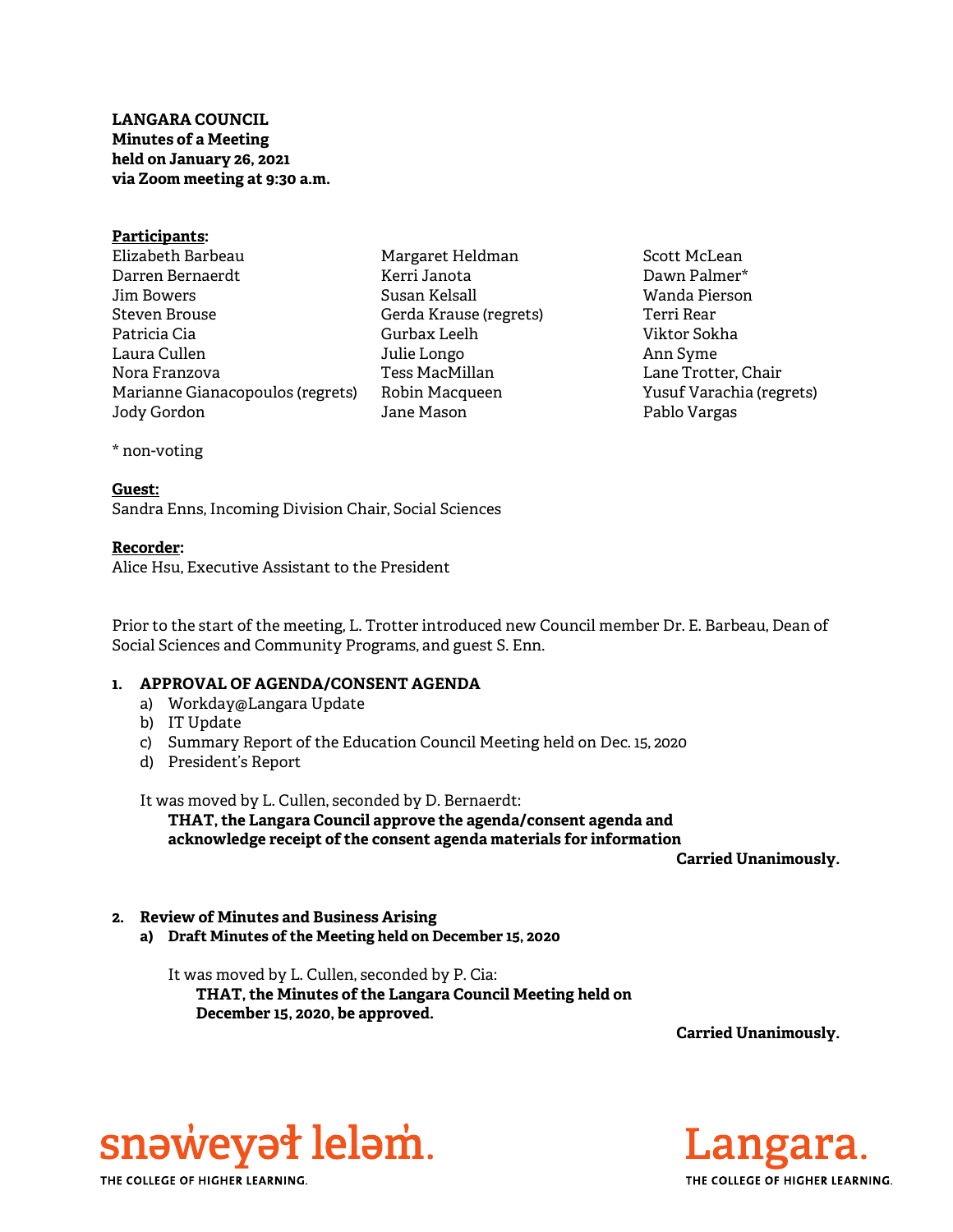## LANGARA COUNCIL Minutes of a Meeting held on January 26, 2021 via Zoom meeting at 9:30 a.m.

| Participants:                    |       |
|----------------------------------|-------|
| Elizabeth Barbeau                | Mar   |
| Darren Bernaerdt                 | Kerr  |
| Jim Bowers                       | Susa  |
| Steven Brouse                    | Gerd  |
| Patricia Cia                     | Gurl  |
| Laura Cullen                     | Julie |
| Nora Franzova                    | Tess  |
| Marianne Gianacopoulos (regrets) | Robi  |
| Jody Gordon                      | Jane  |
|                                  |       |

garet Heldman i Janota an Kelsall da Krause (regrets) bax Leelh e Longo MacMillan in Macqueen Mason

Scott McLean Dawn Palmer\* Wanda Pierson Terri Rear Viktor Sokha Ann Syme Lane Trotter, Chair Yusuf Varachia (regrets) Pablo Vargas

### \* non-voting

### Guest:

Sandra Enns, Incoming Division Chair, Social Sciences

### Recorder:

Alice Hsu, Executive Assistant to the President

Prior to the start of the meeting, L. Trotter introduced new Council member Dr. E. Barbeau, Dean of Social Sciences and Community Programs, and guest S. Enn.

# 1. APPROVAL OF AGENDA/CONSENT AGENDA

- a) Workday@Langara Update
- b) IT Update
- c) Summary Report of the Education Council Meeting held on Dec. 15, 2020
- d) President's Report

It was moved by L. Cullen, seconded by D. Bernaerdt:

THAT, the Langara Council approve the agenda/consent agenda and acknowledge receipt of the consent agenda materials for information

Carried Unanimously.

### 2. Review of Minutes and Business Arising

a) Draft Minutes of the Meeting held on December 15, 2020

It was moved by L. Cullen, seconded by P. Cia:

THAT, the Minutes of the Langara Council Meeting held on December 15, 2020, be approved.

Carried Unanimously.



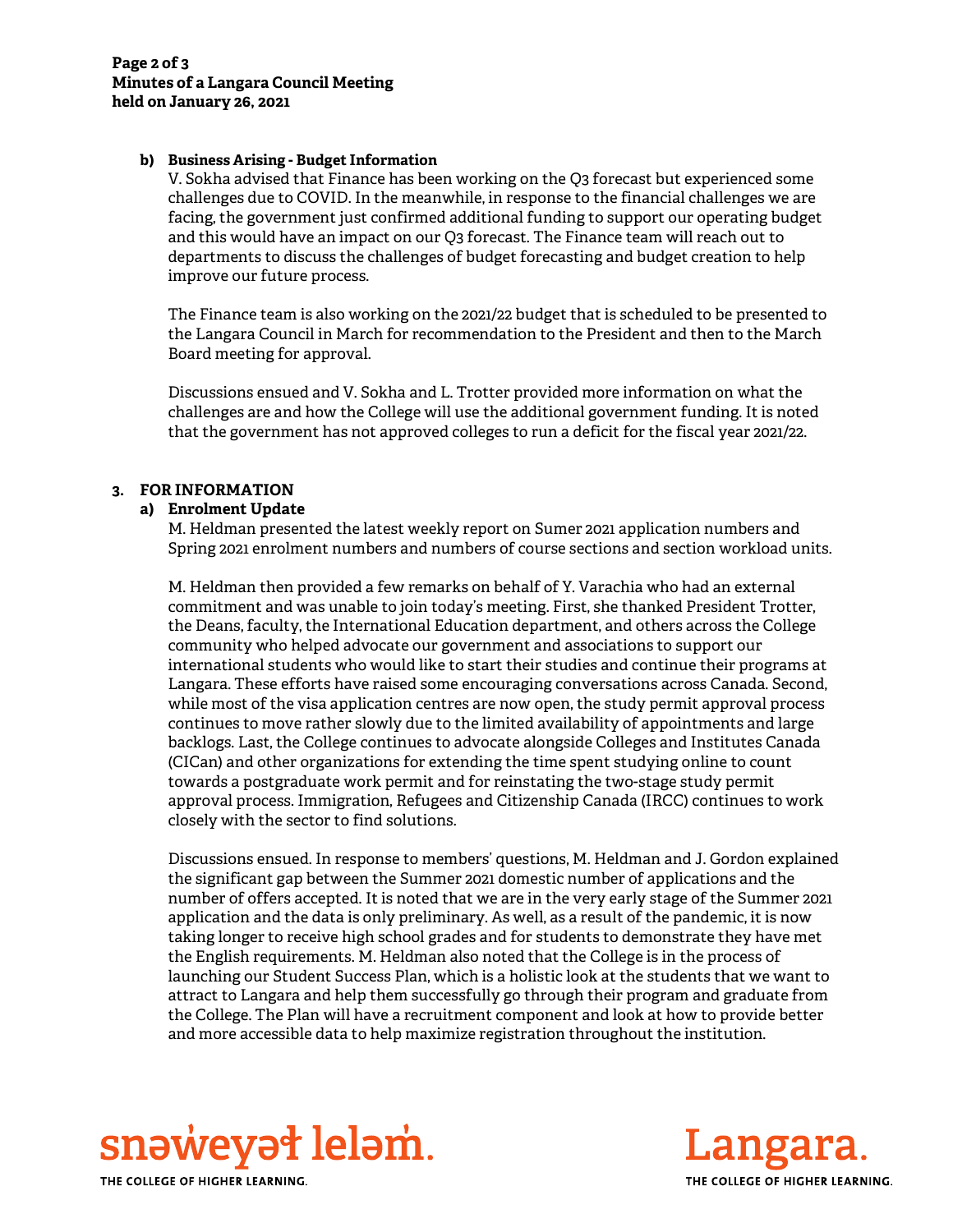### b) Business Arising - Budget Information

V. Sokha advised that Finance has been working on the Q3 forecast but experienced some challenges due to COVID. In the meanwhile, in response to the financial challenges we are facing, the government just confirmed additional funding to support our operating budget and this would have an impact on our Q3 forecast. The Finance team will reach out to departments to discuss the challenges of budget forecasting and budget creation to help improve our future process.

The Finance team is also working on the 2021/22 budget that is scheduled to be presented to the Langara Council in March for recommendation to the President and then to the March Board meeting for approval.

Discussions ensued and V. Sokha and L. Trotter provided more information on what the challenges are and how the College will use the additional government funding. It is noted that the government has not approved colleges to run a deficit for the fiscal year 2021/22.

# 3. FOR INFORMATION

### a) Enrolment Update

M. Heldman presented the latest weekly report on Sumer 2021 application numbers and Spring 2021 enrolment numbers and numbers of course sections and section workload units.

M. Heldman then provided a few remarks on behalf of Y. Varachia who had an external commitment and was unable to join today's meeting. First, she thanked President Trotter, the Deans, faculty, the International Education department, and others across the College community who helped advocate our government and associations to support our international students who would like to start their studies and continue their programs at Langara. These efforts have raised some encouraging conversations across Canada. Second, while most of the visa application centres are now open, the study permit approval process continues to move rather slowly due to the limited availability of appointments and large backlogs. Last, the College continues to advocate alongside Colleges and Institutes Canada (CICan) and other organizations for extending the time spent studying online to count towards a postgraduate work permit and for reinstating the two-stage study permit approval process. Immigration, Refugees and Citizenship Canada (IRCC) continues to work closely with the sector to find solutions.

Discussions ensued. In response to members' questions, M. Heldman and J. Gordon explained the significant gap between the Summer 2021 domestic number of applications and the number of offers accepted. It is noted that we are in the very early stage of the Summer 2021 application and the data is only preliminary. As well, as a result of the pandemic, it is now taking longer to receive high school grades and for students to demonstrate they have met the English requirements. M. Heldman also noted that the College is in the process of launching our Student Success Plan, which is a holistic look at the students that we want to attract to Langara and help them successfully go through their program and graduate from the College. The Plan will have a recruitment component and look at how to provide better and more accessible data to help maximize registration throughout the institution.



THE COLLEGE OF HIGHER LEARNING.